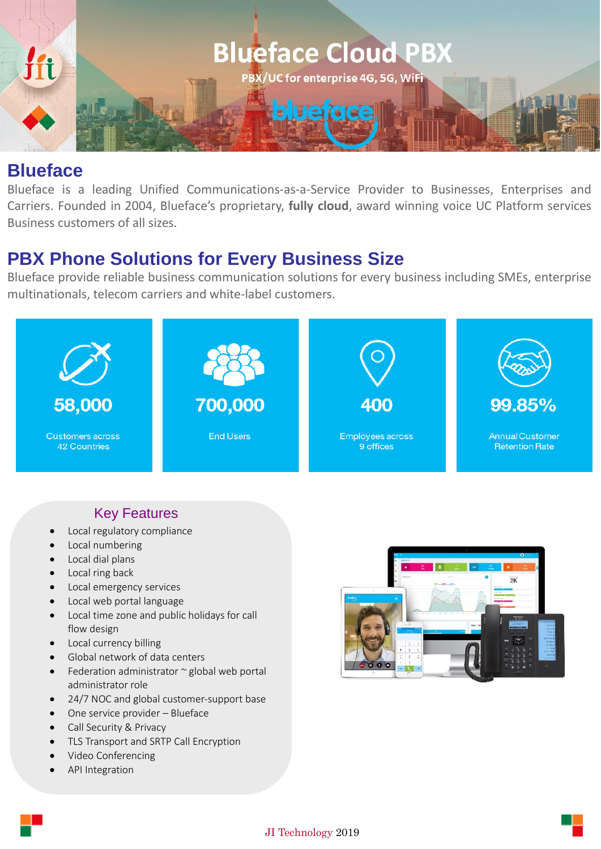

## **Blueface**

Blueface is a leading Unified Communications-as-a-Service Provider to Businesses, Enterprises and Carriers. Founded in 2004, Blueface's proprietary, **fully cloud**, award winning voice UC Platform services Business customers of all sizes.

## **PBX Phone Solutions for Every Business Size**

Blueface provide reliable business communication solutions for every business including SMEs, enterprise multinationals, telecom carriers and white-label customers.



## Key Features

- Local regulatory compliance
- Local numbering
- Local dial plans
- Local ring back
- Local emergency services
- Local web portal language
- Local time zone and public holidays for call flow design
- Local currency billing
- Global network of data centers
- Federation administrator  $\sim$  global web portal administrator role
- 24/7 NOC and global customer-support base
- One service provider Blueface
- Call Security & Privacy
- TLS Transport and SRTP Call Encryption
- Video Conferencing
- API Integration